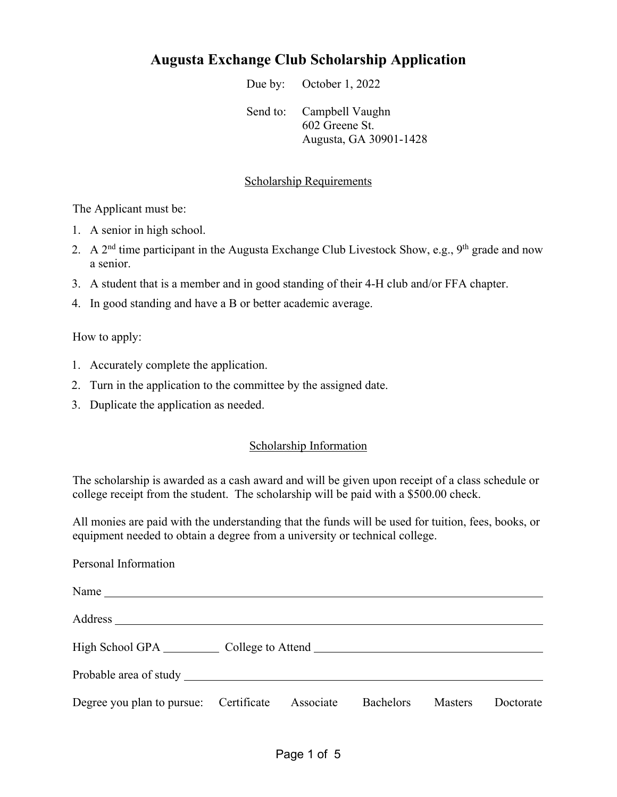## **Augusta Exchange Club Scholarship Application**

Due by: October 1, 2022

Send to: Campbell Vaughn 602 Greene St. Augusta, GA 30901-1428

## Scholarship Requirements

The Applicant must be:

- 1. A senior in high school.
- 2. A  $2<sup>nd</sup>$  time participant in the Augusta Exchange Club Livestock Show, e.g., 9<sup>th</sup> grade and now a senior.
- 3. A student that is a member and in good standing of their 4-H club and/or FFA chapter.
- 4. In good standing and have a B or better academic average.

How to apply:

- 1. Accurately complete the application.
- 2. Turn in the application to the committee by the assigned date.
- 3. Duplicate the application as needed.

## Scholarship Information

The scholarship is awarded as a cash award and will be given upon receipt of a class schedule or college receipt from the student. The scholarship will be paid with a \$500.00 check.

All monies are paid with the understanding that the funds will be used for tuition, fees, books, or equipment needed to obtain a degree from a university or technical college.

|  | Personal Information |
|--|----------------------|
|--|----------------------|

| Name $\overline{\phantom{a}}$          |           |                  |                |           |
|----------------------------------------|-----------|------------------|----------------|-----------|
|                                        |           |                  |                |           |
| High School GPA College to Attend      |           |                  |                |           |
|                                        |           |                  |                |           |
| Degree you plan to pursue: Certificate | Associate | <b>Bachelors</b> | <b>Masters</b> | Doctorate |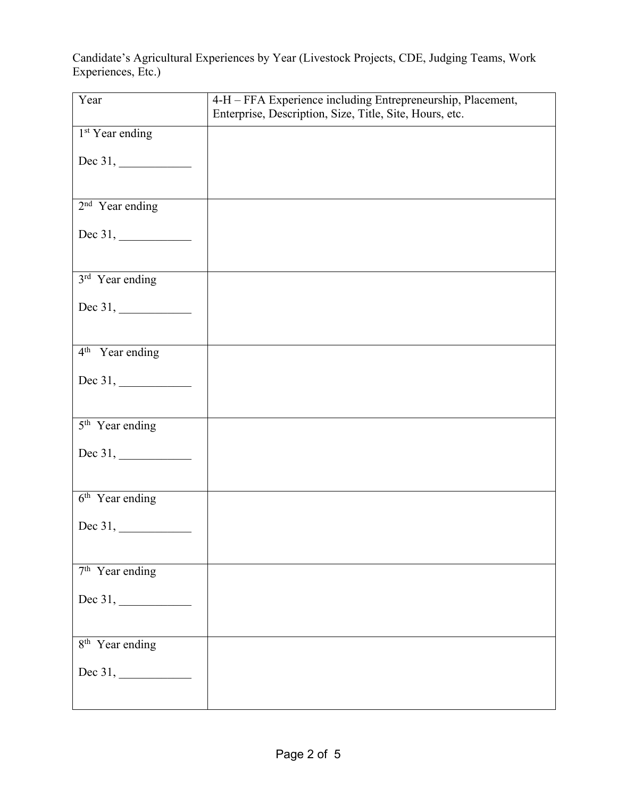Candidate's Agricultural Experiences by Year (Livestock Projects, CDE, Judging Teams, Work Experiences, Etc.)

| Year                        | 4-H - FFA Experience including Entrepreneurship, Placement,<br>Enterprise, Description, Size, Title, Site, Hours, etc. |
|-----------------------------|------------------------------------------------------------------------------------------------------------------------|
| $1st$ Year ending           |                                                                                                                        |
|                             |                                                                                                                        |
| $2nd$ Year ending           |                                                                                                                        |
|                             |                                                                                                                        |
| 3rd Year ending             |                                                                                                                        |
|                             |                                                                                                                        |
| $4th$ Year ending           |                                                                                                                        |
|                             |                                                                                                                        |
| 5 <sup>th</sup> Year ending |                                                                                                                        |
|                             |                                                                                                                        |
| $6th$ Year ending           |                                                                                                                        |
|                             |                                                                                                                        |
| 7 <sup>th</sup> Year ending |                                                                                                                        |
|                             |                                                                                                                        |
| 8 <sup>th</sup> Year ending |                                                                                                                        |
| Dec 31, $\qquad \qquad$     |                                                                                                                        |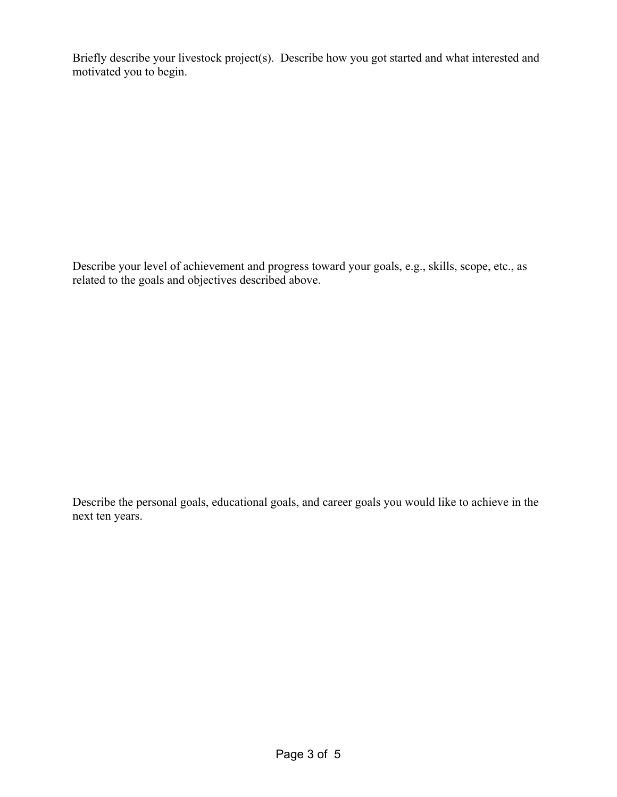Briefly describe your livestock project(s). Describe how you got started and what interested and motivated you to begin.

Describe your level of achievement and progress toward your goals, e.g., skills, scope, etc., as related to the goals and objectives described above.

Describe the personal goals, educational goals, and career goals you would like to achieve in the next ten years.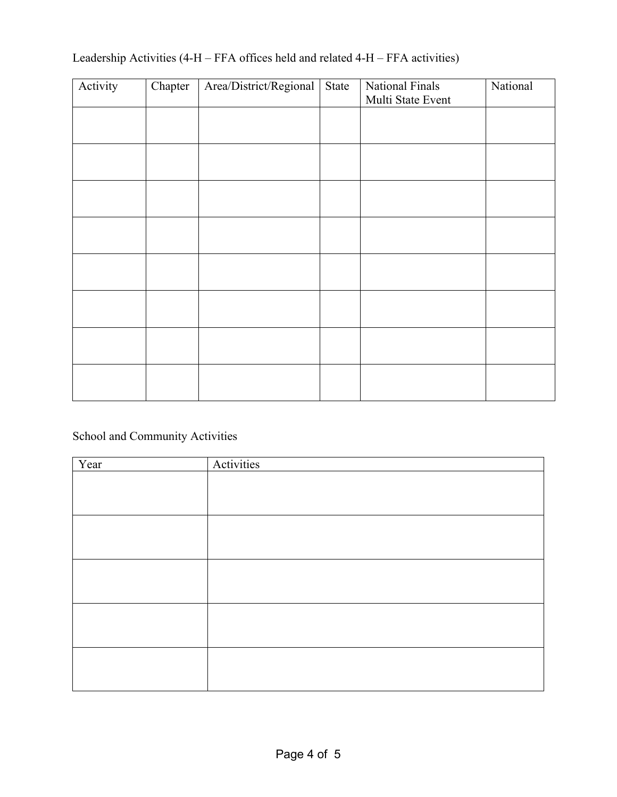| Activity | Chapter | Area/District/Regional | State | National Finals   | National |
|----------|---------|------------------------|-------|-------------------|----------|
|          |         |                        |       | Multi State Event |          |
|          |         |                        |       |                   |          |
|          |         |                        |       |                   |          |
|          |         |                        |       |                   |          |
|          |         |                        |       |                   |          |
|          |         |                        |       |                   |          |
|          |         |                        |       |                   |          |
|          |         |                        |       |                   |          |
|          |         |                        |       |                   |          |
|          |         |                        |       |                   |          |
|          |         |                        |       |                   |          |
|          |         |                        |       |                   |          |
|          |         |                        |       |                   |          |
|          |         |                        |       |                   |          |
|          |         |                        |       |                   |          |
|          |         |                        |       |                   |          |
|          |         |                        |       |                   |          |

## Leadership Activities (4-H – FFA offices held and related 4-H – FFA activities)

School and Community Activities

| Year | Activities |
|------|------------|
|      |            |
|      |            |
|      |            |
|      |            |
|      |            |
|      |            |
|      |            |
|      |            |
|      |            |
|      |            |
|      |            |
|      |            |
|      |            |
|      |            |
|      |            |